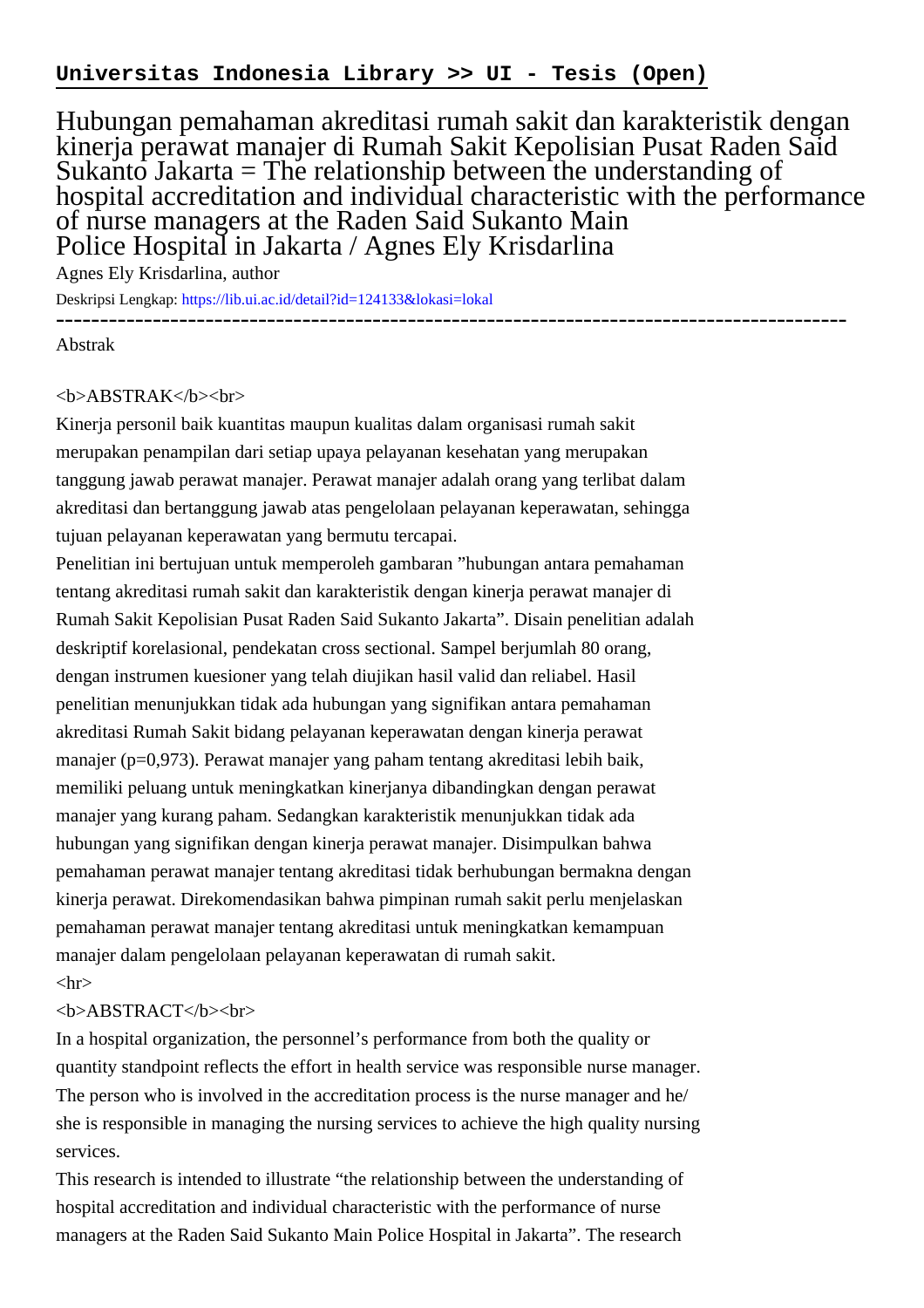## **Universitas Indonesia Library >> UI - Tesis (Open)**

Hubungan pemahaman akreditasi rumah sakit dan karakteristik dengan kinerja perawat manajer di Rumah Sakit Kepolisian Pusat Raden Said Sukanto Jakarta = The relationship between the understanding of hospital accreditation and individual characteristic with the performance of nurse managers at the Raden Said Sukanto Main Police Hospital in Jakarta / Agnes Ely Krisdarlina

Agnes Ely Krisdarlina, author

Deskripsi Lengkap:<https://lib.ui.ac.id/detail?id=124133&lokasi=lokal>

------------------------------------------------------------------------------------------

Abstrak

## <b>ABSTRAK</b><br>

Kinerja personil baik kuantitas maupun kualitas dalam organisasi rumah sakit merupakan penampilan dari setiap upaya pelayanan kesehatan yang merupakan tanggung jawab perawat manajer. Perawat manajer adalah orang yang terlibat dalam akreditasi dan bertanggung jawab atas pengelolaan pelayanan keperawatan, sehingga tujuan pelayanan keperawatan yang bermutu tercapai.

Penelitian ini bertujuan untuk memperoleh gambaran "hubungan antara pemahaman tentang akreditasi rumah sakit dan karakteristik dengan kinerja perawat manajer di Rumah Sakit Kepolisian Pusat Raden Said Sukanto Jakarta". Disain penelitian adalah deskriptif korelasional, pendekatan cross sectional. Sampel berjumlah 80 orang, dengan instrumen kuesioner yang telah diujikan hasil valid dan reliabel. Hasil penelitian menunjukkan tidak ada hubungan yang signifikan antara pemahaman akreditasi Rumah Sakit bidang pelayanan keperawatan dengan kinerja perawat manajer (p=0,973). Perawat manajer yang paham tentang akreditasi lebih baik, memiliki peluang untuk meningkatkan kinerjanya dibandingkan dengan perawat manajer yang kurang paham. Sedangkan karakteristik menunjukkan tidak ada hubungan yang signifikan dengan kinerja perawat manajer. Disimpulkan bahwa pemahaman perawat manajer tentang akreditasi tidak berhubungan bermakna dengan kinerja perawat. Direkomendasikan bahwa pimpinan rumah sakit perlu menjelaskan pemahaman perawat manajer tentang akreditasi untuk meningkatkan kemampuan manajer dalam pengelolaan pelayanan keperawatan di rumah sakit.  $\langle$ hr $>$ 

## <b>ABSTRACT</b><br>

In a hospital organization, the personnel's performance from both the quality or quantity standpoint reflects the effort in health service was responsible nurse manager. The person who is involved in the accreditation process is the nurse manager and he/ she is responsible in managing the nursing services to achieve the high quality nursing services.

This research is intended to illustrate "the relationship between the understanding of hospital accreditation and individual characteristic with the performance of nurse managers at the Raden Said Sukanto Main Police Hospital in Jakarta". The research